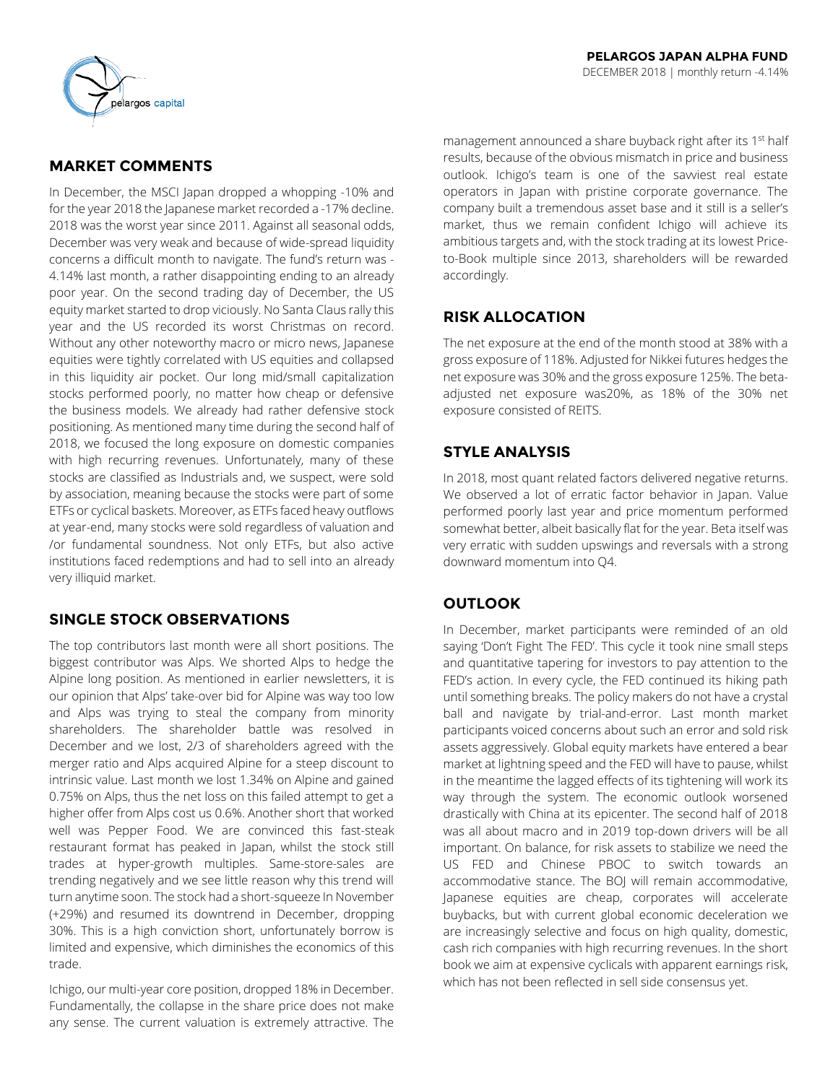

# **MARKET COMMENTS**

In December, the MSCI Japan dropped a whopping -10% and for the year 2018 the Japanese market recorded a -17% decline. 2018 was the worst year since 2011. Against all seasonal odds, December was very weak and because of wide-spread liquidity concerns a difficult month to navigate. The fund's return was - 4.14% last month, a rather disappointing ending to an already poor year. On the second trading day of December, the US equity market started to drop viciously. No Santa Claus rally this year and the US recorded its worst Christmas on record. Without any other noteworthy macro or micro news, Japanese equities were tightly correlated with US equities and collapsed in this liquidity air pocket. Our long mid/small capitalization stocks performed poorly, no matter how cheap or defensive the business models. We already had rather defensive stock positioning. As mentioned many time during the second half of 2018, we focused the long exposure on domestic companies with high recurring revenues. Unfortunately, many of these stocks are classified as Industrials and, we suspect, were sold by association, meaning because the stocks were part of some ETFs or cyclical baskets. Moreover, as ETFs faced heavy outflows at year-end, many stocks were sold regardless of valuation and /or fundamental soundness. Not only ETFs, but also active institutions faced redemptions and had to sell into an already very illiquid market.

# **SINGLE STOCK OBSERVATIONS**

The top contributors last month were all short positions. The biggest contributor was Alps. We shorted Alps to hedge the Alpine long position. As mentioned in earlier newsletters, it is our opinion that Alps' take-over bid for Alpine was way too low and Alps was trying to steal the company from minority shareholders. The shareholder battle was resolved in December and we lost, 2/3 of shareholders agreed with the merger ratio and Alps acquired Alpine for a steep discount to intrinsic value. Last month we lost 1.34% on Alpine and gained 0.75% on Alps, thus the net loss on this failed attempt to get a higher offer from Alps cost us 0.6%. Another short that worked well was Pepper Food. We are convinced this fast-steak restaurant format has peaked in Japan, whilst the stock still trades at hyper-growth multiples. Same-store-sales are trending negatively and we see little reason why this trend will turn anytime soon. The stock had a short-squeeze In November (+29%) and resumed its downtrend in December, dropping 30%. This is a high conviction short, unfortunately borrow is limited and expensive, which diminishes the economics of this trade.

Ichigo, our multi-year core position, dropped 18% in December. Fundamentally, the collapse in the share price does not make any sense. The current valuation is extremely attractive. The

management announced a share buyback right after its 1<sup>st</sup> half results, because of the obvious mismatch in price and business outlook. Ichigo's team is one of the savviest real estate operators in Japan with pristine corporate governance. The company built a tremendous asset base and it still is a seller's market, thus we remain confident Ichigo will achieve its ambitious targets and, with the stock trading at its lowest Priceto-Book multiple since 2013, shareholders will be rewarded accordingly.

# **RISK ALLOCATION**

The net exposure at the end of the month stood at 38% with a gross exposure of 118%. Adjusted for Nikkei futures hedges the net exposure was 30% and the gross exposure 125%. The betaadjusted net exposure was20%, as 18% of the 30% net exposure consisted of REITS.

# **STYLE ANALYSIS**

In 2018, most quant related factors delivered negative returns. We observed a lot of erratic factor behavior in Japan. Value performed poorly last year and price momentum performed somewhat better, albeit basically flat for the year. Beta itself was very erratic with sudden upswings and reversals with a strong downward momentum into Q4.

## **OUTLOOK**

In December, market participants were reminded of an old saying 'Don't Fight The FED'. This cycle it took nine small steps and quantitative tapering for investors to pay attention to the FED's action. In every cycle, the FED continued its hiking path until something breaks. The policy makers do not have a crystal ball and navigate by trial-and-error. Last month market participants voiced concerns about such an error and sold risk assets aggressively. Global equity markets have entered a bear market at lightning speed and the FED will have to pause, whilst in the meantime the lagged effects of its tightening will work its way through the system. The economic outlook worsened drastically with China at its epicenter. The second half of 2018 was all about macro and in 2019 top-down drivers will be all important. On balance, for risk assets to stabilize we need the US FED and Chinese PBOC to switch towards an accommodative stance. The BOJ will remain accommodative, Japanese equities are cheap, corporates will accelerate buybacks, but with current global economic deceleration we are increasingly selective and focus on high quality, domestic, cash rich companies with high recurring revenues. In the short book we aim at expensive cyclicals with apparent earnings risk, which has not been reflected in sell side consensus yet.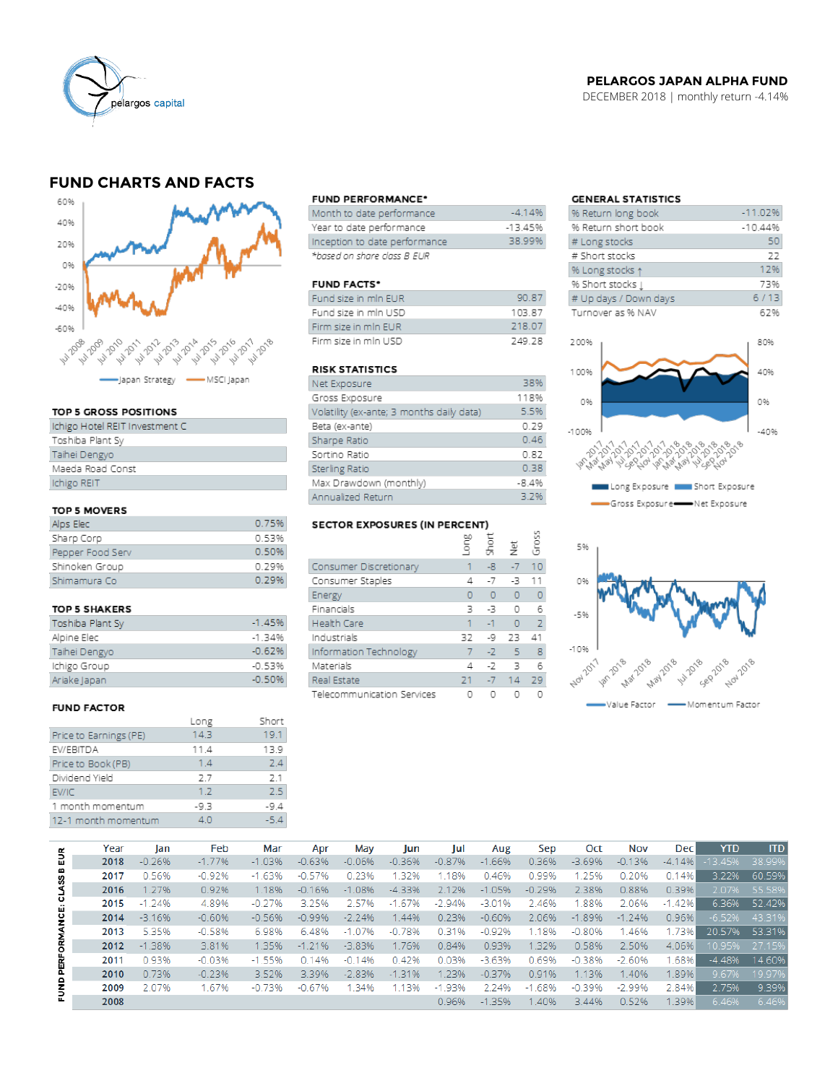

## **PELARGOS JAPAN ALPHA FUND**

DECEMBER 2018 | monthly return -4.14%

## **FUND CHARTS AND FACTS**



#### TOP 5 GROSS POSITIONS

| Ichigo Hotel REIT Investment C |
|--------------------------------|
| Toshiba Plant Sy               |
| Taihei Dengyo                  |
| Maeda Road Const               |
| Ichigo REIT                    |
|                                |

### TOP 5 MOVERS

| Alps Elec        | 0.75% |
|------------------|-------|
| Sharp Corp       | 0.53% |
| Pepper Food Serv | 0.50% |
| Shinoken Group   | O 29% |
| Shimamura Co     | 0.29% |

#### TOP 5 SHAKERS

| Toshiba Plant Sy | $-1.45%$ |
|------------------|----------|
| Alpine Elec      | $-1.34%$ |
| Taihei Dengyo    | $-0.62%$ |
| Ichigo Group     | $-0.53%$ |
| Ariake Japan     | $-0.50%$ |

#### **FUND FACTOR**

|                        | Long | Short |
|------------------------|------|-------|
| Price to Earnings (PE) | 14.3 | 19.1  |
| EV/EBITDA              | 11.4 | 13.9  |
| Price to Book (PB)     | 1.4  | 74    |
| Dividend Yield         | 2.7  | 2.1   |
| EV/IC                  | 1.2  | 2.5   |
| 1 month momentum       | -9.3 | -9.4  |
| 12-1 month momentum    | 4.0  | $-54$ |
|                        |      |       |

#### **FUND PERFORMANCE\***

| Month to date performance      | $-4.14%$  |
|--------------------------------|-----------|
| Year to date performance       | $-13.45%$ |
| Inception to date performance. | 38.99%    |
| *based on share class B EUR    |           |

#### **FUND FACTS\***

| Fund size in min EUR | <b>90.87</b> |
|----------------------|--------------|
| Fund size in mln USD | 10387        |
| Firm size in min EUR | 218.07       |
| Firm size in min USD | 749 78       |

## **RISK STATISTICS**

| Net Exposure                              | 38%     |
|-------------------------------------------|---------|
| Gross Exposure                            | 118%    |
| Volatility (ex-ante; 3 months daily data) | 5.5%    |
| Beta (ex-ante)                            | 0.29    |
| Sharpe Ratio                              | 0.46    |
| Sortino Ratio                             | 0.82    |
| Sterling Ratio                            | 0.38    |
| Max Drawdown (monthly)                    | $-8.4%$ |
| Annualized Return                         | 3.2%    |

#### SECTOR EXPOSURES (IN PERCENT) bo.

|                            | auo'     | short | 흋              | Gross          |
|----------------------------|----------|-------|----------------|----------------|
|                            |          |       |                |                |
| Consumer Discretionary     |          | $-8$  | $-7$           | 10             |
| Consumer Staples           | 4        | $-7$  | -3             | 11             |
| Energy                     | $\Omega$ | O     | $\overline{0}$ | 0              |
| Financials                 | 3        | -3    | O              | 6              |
| <b>Health Care</b>         | 1        | $-1$  | $\Omega$       | $\overline{z}$ |
| Industrials                | 32       | -9    | 23             | 41             |
| Information Technology     | 7        | $-2$  | 5              | 8              |
| Materials                  | 4        | $-7$  | 3              | 6              |
| Real Estate                | 21       | $-7$  | 14             | 29             |
| Telecommunication Services |          |       |                |                |

## **GENERAL STATISTICS**

| % Return long book    | $-11.02%$ |
|-----------------------|-----------|
| % Return short book   | $-10.44%$ |
| # Long stocks         | 50        |
| # Short stocks        | 22        |
| % Long stocks 1       | 12%       |
| % Short stocks [      | 73%       |
| # Up days / Down days | 6/13      |
| Turnover as % NAV     | 62%       |
|                       |           |
| 200%                  | 80%       |





|                           | Year | lan      | Feb      | Mar      | Apr      | May      | Jun        | lul      | Aug      | Sep      | Oct      | Nov      | <b>Dec</b> | <b>YTD</b> | <b>ITD</b> |
|---------------------------|------|----------|----------|----------|----------|----------|------------|----------|----------|----------|----------|----------|------------|------------|------------|
| 틦<br>PERFORMANCE: CLASS B | 2018 | $-0.26%$ | $-1.77%$ | $-1.03%$ | $-0.63%$ | $-0.06%$ | $-0.36%$   | $-0.87%$ | $-1.66%$ | 0.36%    | $-3.69%$ | $-0.13%$ | $-4.14%$   | $-13.45%$  | 38.99%     |
|                           | 2017 | 0.56%    | $-0.92%$ | $-1.63%$ | $-0.57%$ | 0.23%    | 32%        | 1.18%    | 0.46%    | 0.99%    | 1.25%    | 0.20%    | 0.14%      | 3.22%      | 60.59%     |
|                           | 2016 | 1.27%    | 0.92%    | 1.18%    | $-0.16%$ | $-1.08%$ | $-4.33%$   | 2.12%    | $-1.05%$ | $-0.29%$ | 2.38%    | 0.88%    | 0.39%      | 2.07%      | 55.58%     |
|                           | 2015 | $-1.24%$ | 4.89%    | $-0.27%$ | 3.25%    | 2.57%    | .67%<br>-1 | $-2.94%$ | $-3.01%$ | 2.46%    | .88%     | 2.06%    | $-1.42%$   | 6.36%      | 52.42%     |
|                           | 2014 | $-3.16%$ | $-0.60%$ | $-0.56%$ | $-0.99%$ | $-2.24%$ | 1.44%      | 0.23%    | $-0.60%$ | 2.06%    | $-1.89%$ | $-1.24%$ | 0.96%      | $-6.52%$   | 43.31%     |
|                           | 2013 | 5.35%    | $-0.58%$ | 6.98%    | 6.48%    | $-1.07%$ | $-0.78%$   | 0.31%    | $-0.92%$ | 1.18%    | $-0.80%$ | 1.46%    | 1.73%      | 20.57%     | 53.31%     |
|                           | 2012 | $-1.38%$ | 3.81%    | 1.35%    | $-1.21%$ | $-3.83%$ | 1.76%      | 0.84%    | 0.93%    | 1.32%    | 0.58%    | 2.50%    | 4.06%      | 10.95%     | 27.15%     |
|                           | 2011 | 0.93%    | $-0.03%$ | $-1.55%$ | 0.14%    | $-0.14%$ | 0.42%      | 0.03%    | $-3.63%$ | 0.69%    | $-0.38%$ | $-2.60%$ | 1.68%      | $-4.48%$   | 14.60%     |
|                           | 2010 | 0.73%    | $-0.23%$ | 3.52%    | 3.39%    | $-2.83%$ | $-1.31%$   | 1.23%    | $-0.37%$ | 0.91%    | 1.13%    | 1.40%    | 1.89%      | 9.67%      | 19.97%     |
| FUND                      | 2009 | 2.07%    | 1.67%    | $-0.73%$ | $-0.67%$ | 134%     | 1.13%      | $-1.93%$ | 2.24%    | $-1.68%$ | $-0.39%$ | $-2.99%$ | 2.84%      | 2.75%      | 9.39%      |
|                           | 2008 |          |          |          |          |          |            | 0.96%    | $-1.35%$ | 1.40%    | 3.44%    | 0.52%    | 1.39%      | 6.46%      | 6.46%      |